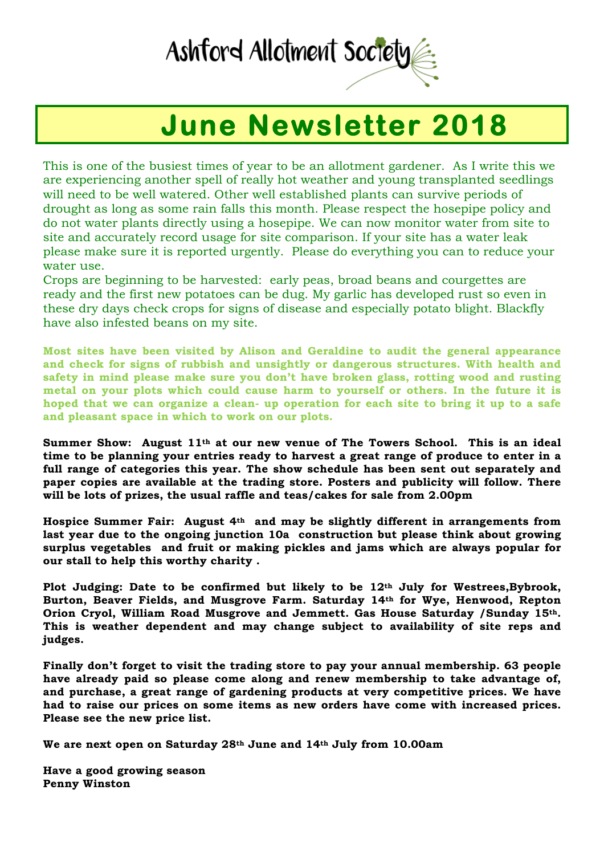## Ashford Allotment Society

## **June Newsletter 2018**

This is one of the busiest times of year to be an allotment gardener. As I write this we are experiencing another spell of really hot weather and young transplanted seedlings will need to be well watered. Other well established plants can survive periods of drought as long as some rain falls this month. Please respect the hosepipe policy and do not water plants directly using a hosepipe. We can now monitor water from site to site and accurately record usage for site comparison. If your site has a water leak please make sure it is reported urgently. Please do everything you can to reduce your water use.

Crops are beginning to be harvested: early peas, broad beans and courgettes are ready and the first new potatoes can be dug. My garlic has developed rust so even in these dry days check crops for signs of disease and especially potato blight. Blackfly have also infested beans on my site.

**Most sites have been visited by Alison and Geraldine to audit the general appearance and check for signs of rubbish and unsightly or dangerous structures. With health and safety in mind please make sure you don't have broken glass, rotting wood and rusting metal on your plots which could cause harm to yourself or others. In the future it is hoped that we can organize a clean- up operation for each site to bring it up to a safe and pleasant space in which to work on our plots.**

**Summer Show: August 11th at our new venue of The Towers School. This is an ideal time to be planning your entries ready to harvest a great range of produce to enter in a full range of categories this year. The show schedule has been sent out separately and paper copies are available at the trading store. Posters and publicity will follow. There will be lots of prizes, the usual raffle and teas/cakes for sale from 2.00pm** 

**Hospice Summer Fair: August 4th and may be slightly different in arrangements from last year due to the ongoing junction 10a construction but please think about growing surplus vegetables and fruit or making pickles and jams which are always popular for our stall to help this worthy charity .** 

**Plot Judging: Date to be confirmed but likely to be 12th July for Westrees,Bybrook, Burton, Beaver Fields, and Musgrove Farm. Saturday 14th for Wye, Henwood, Repton Orion Cryol, William Road Musgrove and Jemmett. Gas House Saturday /Sunday 15th. This is weather dependent and may change subject to availability of site reps and judges.**

**Finally don't forget to visit the trading store to pay your annual membership. 63 people have already paid so please come along and renew membership to take advantage of, and purchase, a great range of gardening products at very competitive prices. We have had to raise our prices on some items as new orders have come with increased prices. Please see the new price list.**

**We are next open on Saturday 28th June and 14th July from 10.00am** 

**Have a good growing season Penny Winston**